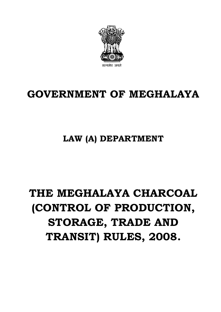

# **GOVERNMENT OF MEGHALAYA**

# **LAW (A) DEPARTMENT**

# **THE MEGHALAYA CHARCOAL (CONTROL OF PRODUCTION, STORAGE, TRADE AND TRANSIT) RULES, 2008.**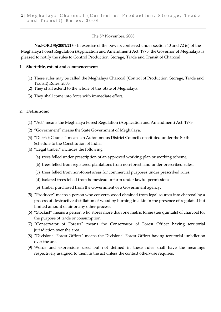#### The 5th November, 2008

**No.FOR.136/2001/213.-** In exercise of the powers conferred under section 40 and 72 (e) of the Meghalaya Forest Regulation (Application and Amendment) Act, 1973, the Governor of Meghalaya is pleased to notify the rules to Control Production, Storage, Trade and Transit of Charcoal.

#### 1. **Short title, extent and commencement:**

- (1) These rules may be called the Meghalaya Charcoal (Control of Production, Storage, Trade and Transit) Rules, 2008.
- (2) They shall extend to the whole of the State of Meghalaya.
- (3) They shall come into force with immediate effect.

## **2. Definitions:**

- (1) "Act" means the Meghalaya Forest Regulation (Application and Amendment) Act, 1973.
- (2) "Government" means the State Government of Meghalaya.
- (3) "District Council" means an Autonomous District Council constituted under the Sixth Schedule to the Constitution of India.
- (4) "Legal timber" includes the following.
	- (a) trees felled under prescription of an approved working plan or working scheme;
	- (b) trees felled from registered plantations from non-forest land under prescribed rules;
	- (c) trees felled from non-forest areas for commercial purposes under prescribed rules;
	- (d) isolated trees felled from homestead or farm under lawful permission;
	- (e) timber purchased from the Government or a Government agency.
- (5) "Producer" means a person who converts wood obtained from legal sources into charcoal by a process of destructive distillation of wood by burning in a kin in the presence of regulated but limited amount of air or any other process.
- (6) "Stockist" means a person who stores more than one metric tonne (ten quintals) of charcoal for the purpose of trade or consumption.
- (7) "Conservator of Forests" means the Conservator of Forest Officer having territorial jurisdiction over the area.
- (8) "Divisional Forest Officer" means the Divisional Forest Officer having territorial jurisdiction over the area.
- (9) Words and expressions used but not defined in these rules shall have the meanings respectively assigned to them in the act unless the context otherwise requires.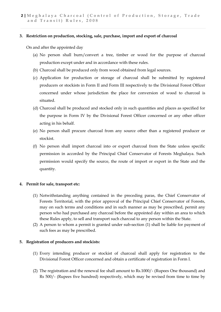#### **3. Restriction on production, stocking, sale, purchase, import and export of charcoal**

On and after the appointed day

- (a) No person shall burn/convert a tree, timber or wood for the purpose of charcoal production except under and in accordance with these rules.
- (b) Charcoal shall be produced only from wood obtained from legal sources.
- (c) Application for production or storage of charcoal shall be submitted by registered producers or stockists in Form II and Form III respectively to the Divisional Forest Officer concerned under whose jurisdiction the place for conversion of wood to charcoal is situated.
- (d) Charcoal shall be produced and stocked only in such quantities and places as specified for the purpose in Form IV by the Divisional Forest Officer concerned or any other officer acting in his behalf.
- (e) No person shall procure charcoal from any source other than a registered producer or stockist.
- (f) No person shall import charcoal into or export charcoal from the State unless specific permission in accorded by the Principal Chief Conservator of Forests Meghalaya. Such permission would specify the source, the route of import or export in the State and the quantity.

#### **4. Permit for sale, transport etc:**

- (1) Notwithstanding anything contained in the preceding paras, the Chief Conservator of Forests Territorial, with the prior approval of the Principal Chief Conservator of Forests, may on such terms and conditions and in such manner as may be prescribed, permit any person who had purchased any charcoal before the appointed day within an area to which these Rules apply, to sell and transport such charcoal to any person within the State.
- (2) A person to whom a permit is granted under sub-section (1) shall be liable for payment of such fees as may be prescribed.

#### **5. Registration of producers and stockists:**

- (1) Every intending producer or stockist of charcoal shall apply for registration to the Divisional Forest Officer concerned and obtain a certificate of registration in Form I.
- (2) The registration and the renewal fee shall amount to Rs.1000/- (Rupees One thousand) and Rs 500/- (Rupees five hundred) respectively, which may be revised from time to time by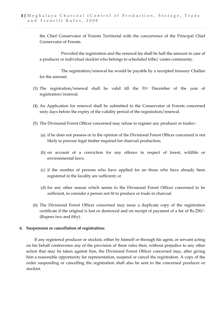the Chief Conservator of Forests Territorial with the concurrence of the Principal Chief Conservator of Forests.

Provided the registration and the renewal fee shall be half the amount in case of a producer or individual stockist who belongs to scheduled tribe/ castes community.

The registration/renewal fee would be payable by a receipted treasury Challan for the amount.

- (3) The registration/renewal shall be valid till the  $31<sup>st</sup>$  December of the year of registration/renewal.
- (4) An Application for renewal shall be submitted to the Conservator of Forests concerned sixty days before the expiry of the validity period of the registration/renewal.
- (5) The Divisional Forest Officer concerned may refuse to register any producer or trader:-
	- (a) if he does not possess or in the opinion of the Divisional Forest Officer concerned is not likely to procure legal timber required for charcoal production;
	- (b) on account of a conviction for any offence in respect of forest, wildlife or environmental laws;
	- (c) if the number of persons who have applied for an those who have already been registered in the locality are sufficient; or
	- (d) for any other reason which seems to the Divisional Forest Officer concerned to be sufficient, to consider a person not fit to produce or trade in charcoal.
- (6) The Divisional Forest Officer concerned may issue a duplicate copy of the registration certificate if the original is lost or destroyed and on receipt of payment of a fee of Rs.250/- (Rupees two and fifty).

#### **6. Suspension or cancellation of registration:**

If any registered producer or stockist, either by himself or through his agent, or servant acting on his behalf contravenes any of the provision of these rules then, without prejudice to any other action that may be taken against him, the Divisional Forest Officer concerned may, after giving him a reasonable opportunity for representation, suspend or cancel the registration. A copy of the order suspending or cancelling the registration shall also be sent to the concerned producer or stockist.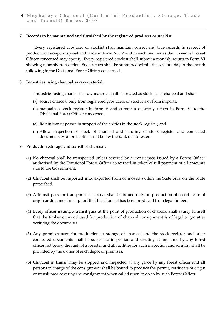#### **7. Records to be maintained and furnished by the registered producer or stockist**

Every registered producer or stockist shall maintain correct and true records in respect of production, receipt, disposal and trade in Form No. V and in such manner as the Divisional Forest Officer concerned may specify. Every registered stockist shall submit a monthly return in Form VI showing monthly transaction. Such return shall be submitted within the seventh day of the month following to the Divisional Forest Officer concerned.

#### **8. Industries using charcoal as raw material:**

Industries using charcoal as raw material shall be treated as stockists of charcoal and shall

- (a) source charcoal only from registered producers or stockists or from imports;
- (b) maintain a stock register in form V and submit a quarterly return in Form VI to the Divisional Forest Officer concerned.
- (c) Retain transit passes in support of the entries in the stock register; and
- (d) Allow inspection of stock of charcoal and scrutiny of stock register and connected documents by a forest officer not below the rank of a forester.

#### **9. Production ,storage and transit of charcoal:**

- (1) No charcoal shall be transported unless covered by a transit pass issued by a Forest Officer authorised by the Divisional Forest Officer concerned in token of full payment of all amounts due to the Government.
- (2) Charcoal shall be imported into, exported from or moved within the State only on the route prescribed.
- (3) A transit pass for transport of charcoal shall be issued only on production of a certificate of origin or document in support that the charcoal has been produced from legal timber.
- (4) Every officer issuing a transit pass at the point of production of charcoal shall satisfy himself that the timber or wood used for production of charcoal consignment is of legal origin after verifying the documents.
- (5) Any premises used for production or storage of charcoal and the stock register and other connected documents shall be subject to inspection and scrutiny at any time by any forest officer not below the rank of a forester and all facilities for such inspection and scrutiny shall be provided by the owner of such depot or premises.
- (6) Charcoal in transit may be stopped and inspected at any place by any forest officer and all persons in charge of the consignment shall be bound to produce the permit, certificate of origin or transit pass covering the consignment when called upon to do so by such Forest Officer.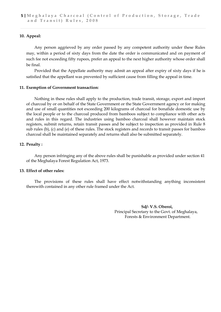#### **10. Appeal:**

Any person aggrieved by any order passed by any competent authority under these Rules may, within a period of sixty days from the date the order is communicated and on payment of such fee not exceeding fifty rupees, prefer an appeal to the next higher authority whose order shall be final.

Provided that the Appellate authority may admit an appeal after expiry of sixty days if he is satisfied that the appellant was prevented by sufficient cause from filling the appeal in time.

#### **11. Exemption of Government transaction:**

Nothing in these rules shall apply to the production, trade transit, storage, export and import of charcoal by or on behalf of the State Government or the State Government agency or for making and use of small quantities not exceeding 200 kilograms of charcoal for bonafide domestic use by the local people or to the charcoal produced from bamboos subject to compliance with other acts and rules in this regard. The industries using bamboo charcoal shall however maintain stock registers, submit returns, retain transit passes and be subject to inspection as provided in Rule 8 sub rules (b), (c) and (e) of these rules. The stock registers and records to transit passes for bamboo charcoal shall be maintained separately and returns shall also be submitted separately.

#### **12. Penalty :**

Any person infringing any of the above rules shall be punishable as provided under section 41 of the Meghalaya Forest Regulation Act, 1973.

#### **13. Effect of other rules:**

The provisions of these rules shall have effect notwithstanding anything inconsistent therewith contained in any other rule framed under the Act.

> **Sd/- V.S. Oberoi,** Principal Secretary to the Govt. of Meghalaya, Forests & Environment Department.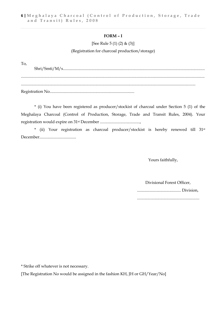#### **FORM – I**

[See Rule 5 (1) (2) & (3)]

#### (Registration for charcoal production/storage)

To, Shri/Smti/M/s........................................................................................................................................... .................................................................................................................................................................................... ........................................................................................................................................................................... Registration No...................................................................................

\* (i) You have been registered as producer/stockist of charcoal under Section 5 (1) of the Meghalaya Charcoal (Control of Production, Storage, Trade and Transit Rules, 2004). Your registration would expire on 31st December .......................................,

\* (ii) Your registration as charcoal producer/stockist is hereby renewed till 31st December....................................

Yours faithfully,

 Divisional Forest Officer, ........................................... Division, .............................................................

\* Strike off whatever is not necessary.

[The Registration No would be assigned in the fashion KH, JH or GH/Year/No]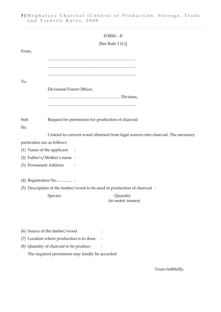|                             |                                                                          | FORM - II                                                                         |
|-----------------------------|--------------------------------------------------------------------------|-----------------------------------------------------------------------------------|
|                             |                                                                          | [See Rule $3 (C)$ ]                                                               |
| From,                       |                                                                          |                                                                                   |
|                             |                                                                          |                                                                                   |
| To,                         |                                                                          |                                                                                   |
|                             | Divisional Forest Officer,                                               |                                                                                   |
|                             |                                                                          |                                                                                   |
|                             |                                                                          |                                                                                   |
| Sub:                        | Request for permission for production of charcoal                        |                                                                                   |
| Sir,                        |                                                                          |                                                                                   |
|                             |                                                                          | I intend to convert wood obtained from legal sources into charcoal. The necessary |
| particulars are as follows: |                                                                          |                                                                                   |
| (1) Name of the applicant   | $\sim$ :                                                                 |                                                                                   |
|                             | (2) Father's/Mother's name:                                              |                                                                                   |
| (3) Permanent Address       |                                                                          |                                                                                   |
|                             | (4) Registration No :                                                    |                                                                                   |
|                             | (5) Description of the timber/wood to be used in production of charcoal: |                                                                                   |
|                             | Species                                                                  | Quantity<br>(in metric tonnes)                                                    |
|                             |                                                                          |                                                                                   |
|                             | (6) Source of the timber/wood                                            |                                                                                   |
|                             | (7) Location where production is to done                                 |                                                                                   |
|                             | (8) Quantity of charcoal to be produce                                   |                                                                                   |

The required permission may kindly be accorded

Yours faithfully,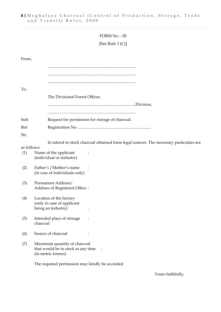## FORM No – III

# [See Rule 3 (C)]

| From,              |                                                                                               |
|--------------------|-----------------------------------------------------------------------------------------------|
|                    |                                                                                               |
|                    |                                                                                               |
|                    |                                                                                               |
| To,                |                                                                                               |
|                    | The Divisional Forest Officer,                                                                |
|                    |                                                                                               |
| Sub:               | Request for permission for storage of charcoal.                                               |
| Ref:               |                                                                                               |
| Sir,               |                                                                                               |
|                    | In intend to stock charcoal obtained form legal sources. The necessary particulars are        |
| as follows:<br>(1) | Name of the applicant<br>(individual or industry)                                             |
| (2)                | Father's / Mother's name<br>(in case of individuals only)                                     |
| (3)                | Permanent Address/<br>Address of Registered Office:                                           |
| (4)                | Location of the factory<br>(only in case of applicant<br>being an industry)                   |
| (5)                | Intended place of storage<br>charcoal                                                         |
| (6)                | Source of charcoal                                                                            |
| (7)                | Maximum quantity of charcoal<br>that would be in stock at any time<br>:<br>(in metric tonnes) |
|                    | The required permission may kindly be accorded                                                |

Yours faithfully,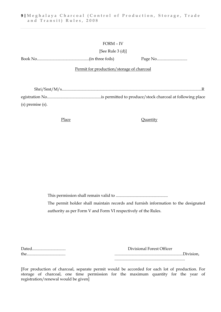#### FORM – IV

[See Rule 3 (d)]

Book No...................................................(in three foils) Page No..............................

#### Permit for production/storage of charcoal

| $(s)$ premise $(s)$ . |  |
|-----------------------|--|

#### Place Quantity

This permission shall remain valid to ................................................... The permit holder shall maintain records and furnish information to the designated authority as per Form V and Form VI respectively of the Rules.

| Dated | Divisional Forest Officer |
|-------|---------------------------|
| the   |                           |
|       |                           |

[For production of charcoal, separate permit would be accorded for each lot of production. For storage of charcoal, one time permission for the maximum quantity for the year of registration/renewal would be given]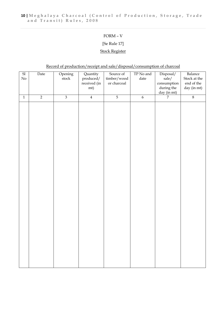# FORM – V

# [Se Rule 17]

# Stock Register

# Record of production/receipt and sale/disposal/consumption of charcoal

| $\operatorname{Sl}$<br>$\rm No$ | Date           | Opening<br>${\sf stock}$ | Quantity<br>produced/<br>received (in | Source of<br>timber/wood<br>or charcoal | $\operatorname{TP}$ No and<br>$\text{date}$ | Disposal/<br>sale/<br>consumption | Balance<br>Stock at the<br>end of the |
|---------------------------------|----------------|--------------------------|---------------------------------------|-----------------------------------------|---------------------------------------------|-----------------------------------|---------------------------------------|
|                                 |                |                          | mt)                                   |                                         |                                             | during the<br>day (in mt)         | day (in mt)                           |
| $\mathbf 1$                     | $\overline{2}$ | $\overline{3}$           | $\overline{4}$                        | $\overline{5}$                          | $\boldsymbol{6}$                            | $\overline{7}$                    | $\overline{8}$                        |
|                                 |                |                          |                                       |                                         |                                             |                                   |                                       |
|                                 |                |                          |                                       |                                         |                                             |                                   |                                       |
|                                 |                |                          |                                       |                                         |                                             |                                   |                                       |
|                                 |                |                          |                                       |                                         |                                             |                                   |                                       |
|                                 |                |                          |                                       |                                         |                                             |                                   |                                       |
|                                 |                |                          |                                       |                                         |                                             |                                   |                                       |